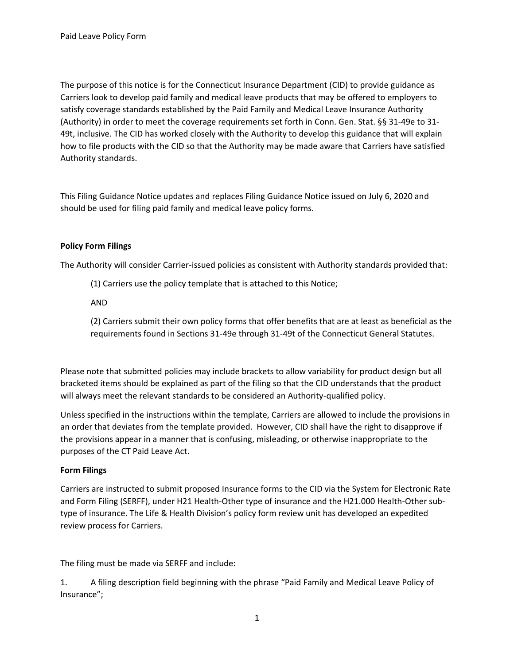The purpose of this notice is for the Connecticut Insurance Department (CID) to provide guidance as Carriers look to develop paid family and medical leave products that may be offered to employers to satisfy coverage standards established by the Paid Family and Medical Leave Insurance Authority (Authority) in order to meet the coverage requirements set forth in Conn. Gen. Stat. §§ 31-49e to 31- 49t, inclusive. The CID has worked closely with the Authority to develop this guidance that will explain how to file products with the CID so that the Authority may be made aware that Carriers have satisfied Authority standards.

This Filing Guidance Notice updates and replaces Filing Guidance Notice issued on July 6, 2020 and should be used for filing paid family and medical leave policy forms.

## **Policy Form Filings**

The Authority will consider Carrier-issued policies as consistent with Authority standards provided that:

(1) Carriers use the policy template that is attached to this Notice;

AND

(2) Carriers submit their own policy forms that offer benefits that are at least as beneficial as the requirements found in Sections 31-49e through 31-49t of the Connecticut General Statutes.

Please note that submitted policies may include brackets to allow variability for product design but all bracketed items should be explained as part of the filing so that the CID understands that the product will always meet the relevant standards to be considered an Authority-qualified policy.

Unless specified in the instructions within the template, Carriers are allowed to include the provisions in an order that deviates from the template provided. However, CID shall have the right to disapprove if the provisions appear in a manner that is confusing, misleading, or otherwise inappropriate to the purposes of the CT Paid Leave Act.

## **Form Filings**

Carriers are instructed to submit proposed Insurance forms to the CID via the System for Electronic Rate and Form Filing (SERFF), under H21 Health-Other type of insurance and the H21.000 Health-Other subtype of insurance. The Life & Health Division's policy form review unit has developed an expedited review process for Carriers.

The filing must be made via SERFF and include:

1. A filing description field beginning with the phrase "Paid Family and Medical Leave Policy of Insurance";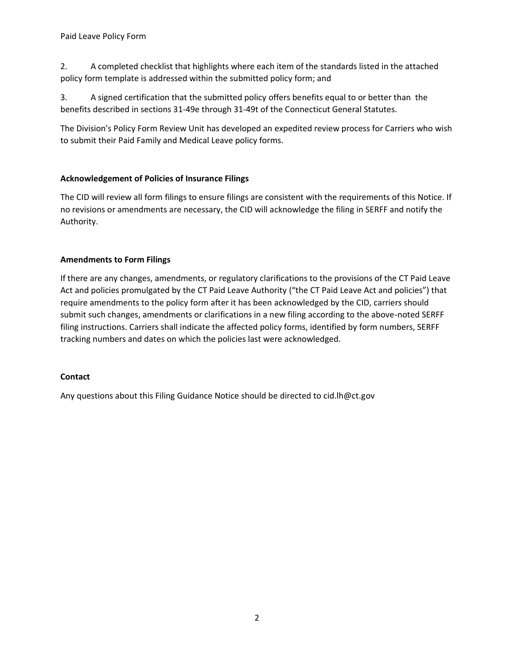2. A completed checklist that highlights where each item of the standards listed in the attached policy form template is addressed within the submitted policy form; and

3. A signed certification that the submitted policy offers benefits equal to or better than the benefits described in sections 31-49e through 31-49t of the Connecticut General Statutes.

The Division's Policy Form Review Unit has developed an expedited review process for Carriers who wish to submit their Paid Family and Medical Leave policy forms.

## **Acknowledgement of Policies of Insurance Filings**

The CID will review all form filings to ensure filings are consistent with the requirements of this Notice. If no revisions or amendments are necessary, the CID will acknowledge the filing in SERFF and notify the Authority.

### **Amendments to Form Filings**

If there are any changes, amendments, or regulatory clarifications to the provisions of the CT Paid Leave Act and policies promulgated by the CT Paid Leave Authority ("the CT Paid Leave Act and policies") that require amendments to the policy form after it has been acknowledged by the CID, carriers should submit such changes, amendments or clarifications in a new filing according to the above-noted SERFF filing instructions. Carriers shall indicate the affected policy forms, identified by form numbers, SERFF tracking numbers and dates on which the policies last were acknowledged.

#### **Contact**

Any questions about this Filing Guidance Notice should be directed to [cid.lh@ct.gov](mailto:cid.lh@ct.gov)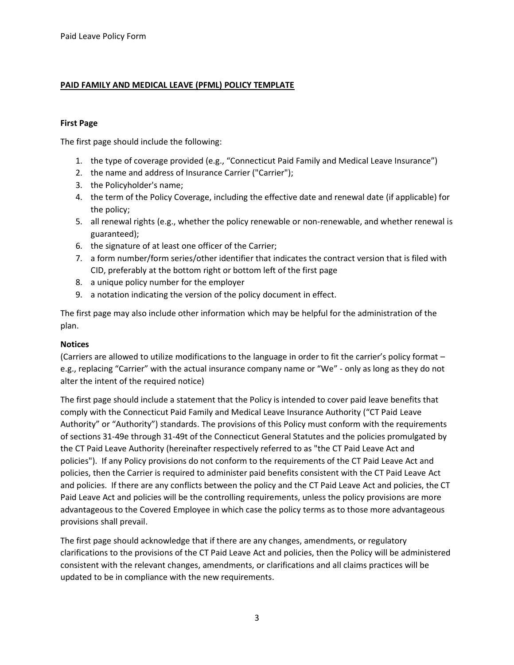### **PAID FAMILY AND MEDICAL LEAVE (PFML) POLICY TEMPLATE**

#### **First Page**

The first page should include the following:

- 1. the type of coverage provided (e.g., "Connecticut Paid Family and Medical Leave Insurance")
- 2. the name and address of Insurance Carrier ("Carrier");
- 3. the Policyholder's name;
- 4. the term of the Policy Coverage, including the effective date and renewal date (if applicable) for the policy;
- 5. all renewal rights (e.g., whether the policy renewable or non-renewable, and whether renewal is guaranteed);
- 6. the signature of at least one officer of the Carrier;
- 7. a form number/form series/other identifier that indicates the contract version that is filed with CID, preferably at the bottom right or bottom left of the first page
- 8. a unique policy number for the employer
- 9. a notation indicating the version of the policy document in effect.

The first page may also include other information which may be helpful for the administration of the plan.

#### **Notices**

(Carriers are allowed to utilize modifications to the language in order to fit the carrier's policy format – e.g., replacing "Carrier" with the actual insurance company name or "We" - only as long as they do not alter the intent of the required notice)

 and policies. If there are any conflicts between the policy and the CT Paid Leave Act and policies, the CT The first page should include a statement that the Policy is intended to cover paid leave benefits that comply with the Connecticut Paid Family and Medical Leave Insurance Authority ("CT Paid Leave Authority" or "Authority") standards. The provisions of this Policy must conform with the requirements of sections 31-49e through 31-49t of the Connecticut General Statutes and the policies promulgated by the CT Paid Leave Authority (hereinafter respectively referred to as "the CT Paid Leave Act and policies"). If any Policy provisions do not conform to the requirements of the CT Paid Leave Act and policies, then the Carrier is required to administer paid benefits consistent with the CT Paid Leave Act Paid Leave Act and policies will be the controlling requirements, unless the policy provisions are more advantageous to the Covered Employee in which case the policy terms as to those more advantageous provisions shall prevail.

The first page should acknowledge that if there are any changes, amendments, or regulatory clarifications to the provisions of the CT Paid Leave Act and policies, then the Policy will be administered consistent with the relevant changes, amendments, or clarifications and all claims practices will be updated to be in compliance with the new requirements.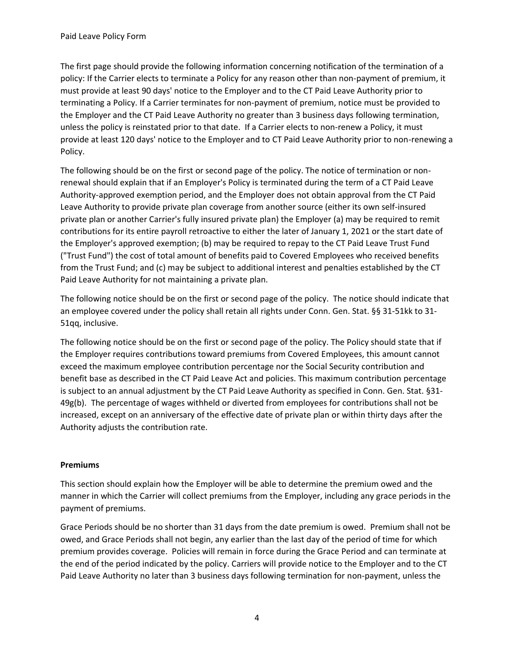The first page should provide the following information concerning notification of the termination of a policy: If the Carrier elects to terminate a Policy for any reason other than non-payment of premium, it must provide at least 90 days' notice to the Employer and to the CT Paid Leave Authority prior to terminating a Policy. If a Carrier terminates for non-payment of premium, notice must be provided to the Employer and the CT Paid Leave Authority no greater than 3 business days following termination, unless the policy is reinstated prior to that date. If a Carrier elects to non-renew a Policy, it must provide at least 120 days' notice to the Employer and to CT Paid Leave Authority prior to non-renewing a Policy.

The following should be on the first or second page of the policy. The notice of termination or nonrenewal should explain that if an Employer's Policy is terminated during the term of a CT Paid Leave Authority-approved exemption period, and the Employer does not obtain approval from the CT Paid Leave Authority to provide private plan coverage from another source (either its own self-insured private plan or another Carrier's fully insured private plan) the Employer (a) may be required to remit contributions for its entire payroll retroactive to either the later of January 1, 2021 or the start date of the Employer's approved exemption; (b) may be required to repay to the CT Paid Leave Trust Fund ("Trust Fund") the cost of total amount of benefits paid to Covered Employees who received benefits from the Trust Fund; and (c) may be subject to additional interest and penalties established by the CT Paid Leave Authority for not maintaining a private plan.

 The following notice should be on the first or second page of the policy. The notice should indicate that an employee covered under the policy shall retain all rights under Conn. Gen. Stat. §§ 31-51kk to 31- 51qq, inclusive.

 49g(b). The percentage of wages withheld or diverted from employees for contributions shall not be The following notice should be on the first or second page of the policy. The Policy should state that if the Employer requires contributions toward premiums from Covered Employees, this amount cannot exceed the maximum employee contribution percentage nor the Social Security contribution and benefit base as described in the CT Paid Leave Act and policies. This maximum contribution percentage is subject to an annual adjustment by the CT Paid Leave Authority as specified in Conn. Gen. Stat. §31 increased, except on an anniversary of the effective date of private plan or within thirty days after the Authority adjusts the contribution rate.

## **Premiums**

This section should explain how the Employer will be able to determine the premium owed and the manner in which the Carrier will collect premiums from the Employer, including any grace periods in the payment of premiums.

Grace Periods should be no shorter than 31 days from the date premium is owed. Premium shall not be owed, and Grace Periods shall not begin, any earlier than the last day of the period of time for which premium provides coverage. Policies will remain in force during the Grace Period and can terminate at the end of the period indicated by the policy. Carriers will provide notice to the Employer and to the CT Paid Leave Authority no later than 3 business days following termination for non-payment, unless the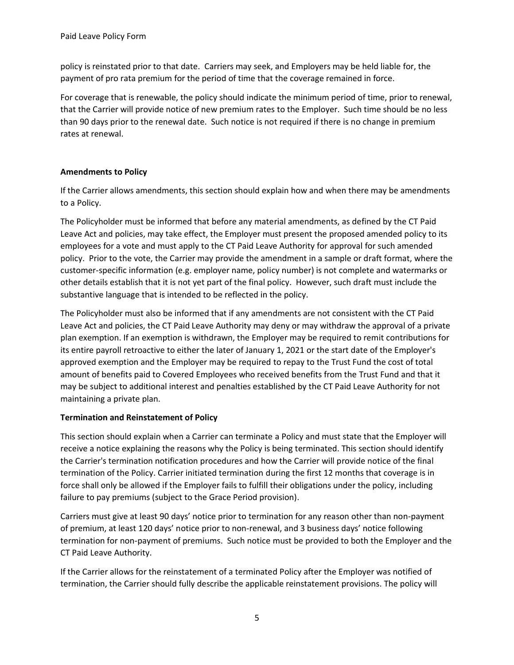policy is reinstated prior to that date. Carriers may seek, and Employers may be held liable for, the payment of pro rata premium for the period of time that the coverage remained in force.

For coverage that is renewable, the policy should indicate the minimum period of time, prior to renewal, that the Carrier will provide notice of new premium rates to the Employer. Such time should be no less than 90 days prior to the renewal date. Such notice is not required if there is no change in premium rates at renewal.

## **Amendments to Policy**

If the Carrier allows amendments, this section should explain how and when there may be amendments to a Policy.

 policy. Prior to the vote, the Carrier may provide the amendment in a sample or draft format, where the The Policyholder must be informed that before any material amendments, as defined by the CT Paid Leave Act and policies, may take effect, the Employer must present the proposed amended policy to its employees for a vote and must apply to the CT Paid Leave Authority for approval for such amended customer-specific information (e.g. employer name, policy number) is not complete and watermarks or other details establish that it is not yet part of the final policy. However, such draft must include the substantive language that is intended to be reflected in the policy.

The Policyholder must also be informed that if any amendments are not consistent with the CT Paid Leave Act and policies, the CT Paid Leave Authority may deny or may withdraw the approval of a private plan exemption. If an exemption is withdrawn, the Employer may be required to remit contributions for its entire payroll retroactive to either the later of January 1, 2021 or the start date of the Employer's approved exemption and the Employer may be required to repay to the Trust Fund the cost of total amount of benefits paid to Covered Employees who received benefits from the Trust Fund and that it may be subject to additional interest and penalties established by the CT Paid Leave Authority for not maintaining a private plan.

## **Termination and Reinstatement of Policy**

This section should explain when a Carrier can terminate a Policy and must state that the Employer will receive a notice explaining the reasons why the Policy is being terminated. This section should identify the Carrier's termination notification procedures and how the Carrier will provide notice of the final termination of the Policy. Carrier initiated termination during the first 12 months that coverage is in force shall only be allowed if the Employer fails to fulfill their obligations under the policy, including failure to pay premiums (subject to the Grace Period provision).

 termination for non-payment of premiums. Such notice must be provided to both the Employer and the Carriers must give at least 90 days' notice prior to termination for any reason other than non-payment of premium, at least 120 days' notice prior to non-renewal, and 3 business days' notice following CT Paid Leave Authority.

If the Carrier allows for the reinstatement of a terminated Policy after the Employer was notified of termination, the Carrier should fully describe the applicable reinstatement provisions. The policy will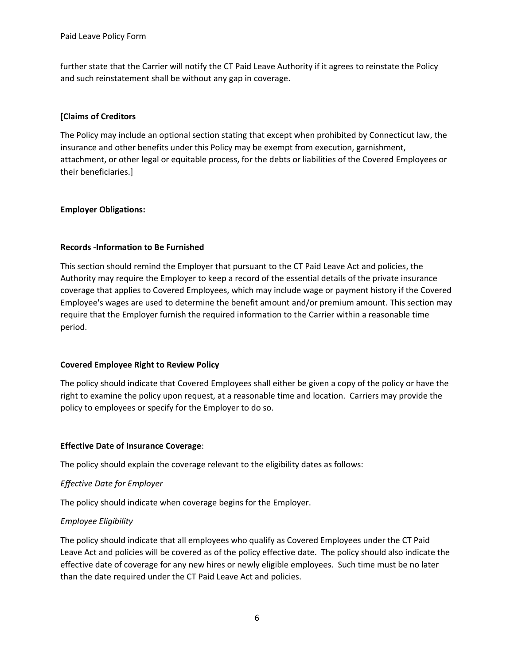further state that the Carrier will notify the CT Paid Leave Authority if it agrees to reinstate the Policy and such reinstatement shall be without any gap in coverage.

### **[Claims of Creditors**

The Policy may include an optional section stating that except when prohibited by Connecticut law, the insurance and other benefits under this Policy may be exempt from execution, garnishment, attachment, or other legal or equitable process, for the debts or liabilities of the Covered Employees or their beneficiaries.]

### **Employer Obligations:**

### **Records -Information to Be Furnished**

This section should remind the Employer that pursuant to the CT Paid Leave Act and policies, the Authority may require the Employer to keep a record of the essential details of the private insurance coverage that applies to Covered Employees, which may include wage or payment history if the Covered Employee's wages are used to determine the benefit amount and/or premium amount. This section may require that the Employer furnish the required information to the Carrier within a reasonable time period.

#### **Covered Employee Right to Review Policy**

 right to examine the policy upon request, at a reasonable time and location. Carriers may provide the policy to employees or specify for the Employer to do so. The policy should indicate that Covered Employees shall either be given a copy of the policy or have the

## **Effective Date of Insurance Coverage**:

The policy should explain the coverage relevant to the eligibility dates as follows:

## *Effective Date for Employer*

The policy should indicate when coverage begins for the Employer.

#### *Employee Eligibility*

The policy should indicate that all employees who qualify as Covered Employees under the CT Paid Leave Act and policies will be covered as of the policy effective date. The policy should also indicate the effective date of coverage for any new hires or newly eligible employees. Such time must be no later than the date required under the CT Paid Leave Act and policies.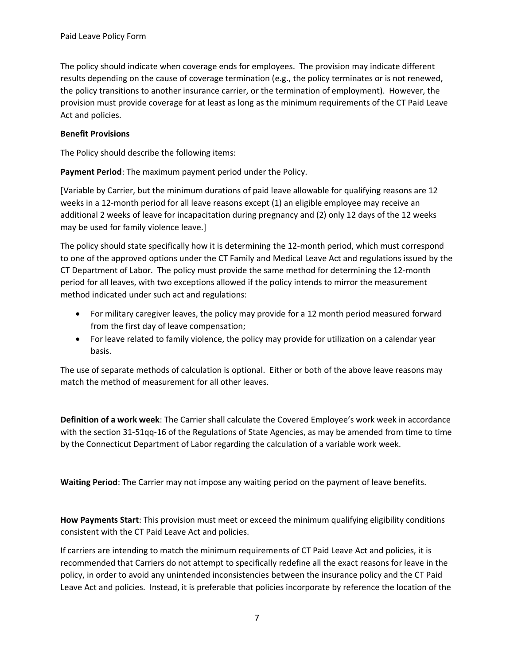The policy should indicate when coverage ends for employees. The provision may indicate different results depending on the cause of coverage termination (e.g., the policy terminates or is not renewed, the policy transitions to another insurance carrier, or the termination of employment). However, the provision must provide coverage for at least as long as the minimum requirements of the CT Paid Leave Act and policies.

### **Benefit Provisions**

The Policy should describe the following items:

**Payment Period**: The maximum payment period under the Policy.

[Variable by Carrier, but the minimum durations of paid leave allowable for qualifying reasons are 12 weeks in a 12-month period for all leave reasons except (1) an eligible employee may receive an additional 2 weeks of leave for incapacitation during pregnancy and (2) only 12 days of the 12 weeks may be used for family violence leave.]

 CT Department of Labor. The policy must provide the same method for determining the 12-month The policy should state specifically how it is determining the 12-month period, which must correspond to one of the approved options under the CT Family and Medical Leave Act and regulations issued by the period for all leaves, with two exceptions allowed if the policy intends to mirror the measurement method indicated under such act and regulations:

- For military caregiver leaves, the policy may provide for a 12 month period measured forward from the first day of leave compensation;
- For leave related to family violence, the policy may provide for utilization on a calendar year basis.

 The use of separate methods of calculation is optional. Either or both of the above leave reasons may match the method of measurement for all other leaves.

**Definition of a work week**: The Carrier shall calculate the Covered Employee's work week in accordance with the section 31-51qq-16 of the Regulations of State Agencies, as may be amended from time to time by the Connecticut Department of Labor regarding the calculation of a variable work week.

**Waiting Period**: The Carrier may not impose any waiting period on the payment of leave benefits.

**How Payments Start**: This provision must meet or exceed the minimum qualifying eligibility conditions consistent with the CT Paid Leave Act and policies.

If carriers are intending to match the minimum requirements of CT Paid Leave Act and policies, it is recommended that Carriers do not attempt to specifically redefine all the exact reasons for leave in the policy, in order to avoid any unintended inconsistencies between the insurance policy and the CT Paid Leave Act and policies. Instead, it is preferable that policies incorporate by reference the location of the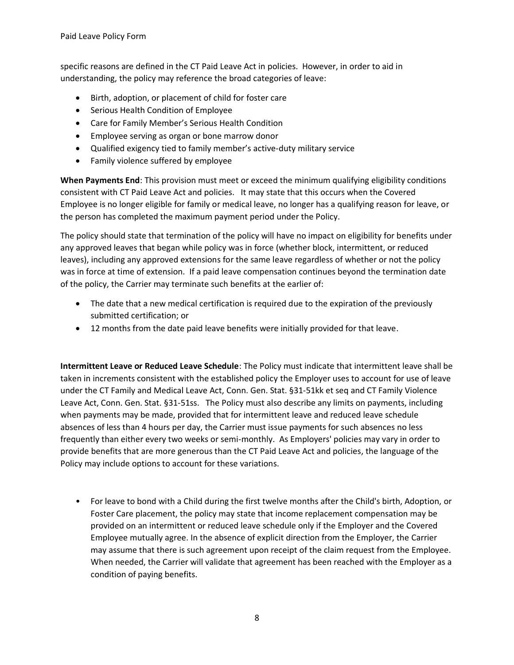specific reasons are defined in the CT Paid Leave Act in policies. However, in order to aid in understanding, the policy may reference the broad categories of leave:

- Birth, adoption, or placement of child for foster care
- Serious Health Condition of Employee
- Care for Family Member's Serious Health Condition
- Employee serving as organ or bone marrow donor
- Qualified exigency tied to family member's active-duty military service
- Family violence suffered by employee

**When Payments End**: This provision must meet or exceed the minimum qualifying eligibility conditions consistent with CT Paid Leave Act and policies. It may state that this occurs when the Covered Employee is no longer eligible for family or medical leave, no longer has a qualifying reason for leave, or the person has completed the maximum payment period under the Policy.

 The policy should state that termination of the policy will have no impact on eligibility for benefits under was in force at time of extension. If a paid leave compensation continues beyond the termination date any approved leaves that began while policy was in force (whether block, intermittent, or reduced leaves), including any approved extensions for the same leave regardless of whether or not the policy of the policy, the Carrier may terminate such benefits at the earlier of:

- The date that a new medical certification is required due to the expiration of the previously submitted certification; or
- 12 months from the date paid leave benefits were initially provided for that leave.

**Intermittent Leave or Reduced Leave Schedule**: The Policy must indicate that intermittent leave shall be taken in increments consistent with the established policy the Employer uses to account for use of leave under the CT Family and Medical Leave Act, Conn. Gen. Stat. §31-51kk et seq and CT Family Violence Leave Act, Conn. Gen. Stat. §31-51ss. The Policy must also describe any limits on payments, including when payments may be made, provided that for intermittent leave and reduced leave schedule absences of less than 4 hours per day, the Carrier must issue payments for such absences no less frequently than either every two weeks or semi-monthly. As Employers' policies may vary in order to provide benefits that are more generous than the CT Paid Leave Act and policies, the language of the Policy may include options to account for these variations.

• For leave to bond with a Child during the first twelve months after the Child's birth, Adoption, or Foster Care placement, the policy may state that income replacement compensation may be provided on an intermittent or reduced leave schedule only if the Employer and the Covered Employee mutually agree. In the absence of explicit direction from the Employer, the Carrier may assume that there is such agreement upon receipt of the claim request from the Employee. When needed, the Carrier will validate that agreement has been reached with the Employer as a condition of paying benefits.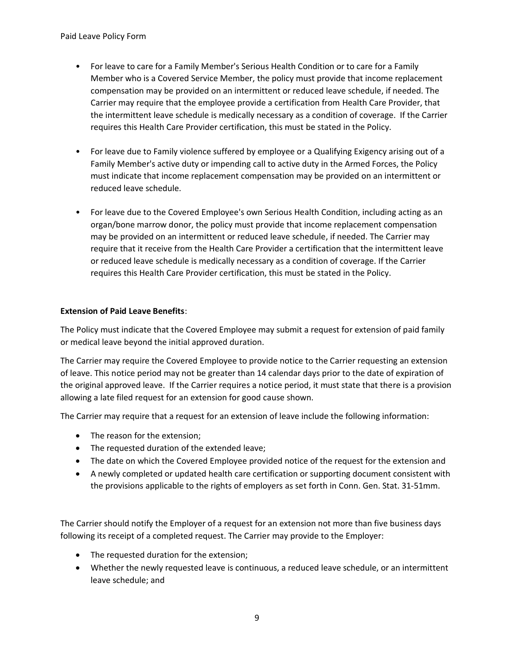- For leave to care for a Family Member's Serious Health Condition or to care for a Family Member who is a Covered Service Member, the policy must provide that income replacement compensation may be provided on an intermittent or reduced leave schedule, if needed. The Carrier may require that the employee provide a certification from Health Care Provider, that the intermittent leave schedule is medically necessary as a condition of coverage. If the Carrier requires this Health Care Provider certification, this must be stated in the Policy.
- For leave due to Family violence suffered by employee or a Qualifying Exigency arising out of a Family Member's active duty or impending call to active duty in the Armed Forces, the Policy must indicate that income replacement compensation may be provided on an intermittent or reduced leave schedule.
- For leave due to the Covered Employee's own Serious Health Condition, including acting as an organ/bone marrow donor, the policy must provide that income replacement compensation may be provided on an intermittent or reduced leave schedule, if needed. The Carrier may require that it receive from the Health Care Provider a certification that the intermittent leave or reduced leave schedule is medically necessary as a condition of coverage. If the Carrier requires this Health Care Provider certification, this must be stated in the Policy.

### **Extension of Paid Leave Benefits**:

The Policy must indicate that the Covered Employee may submit a request for extension of paid family or medical leave beyond the initial approved duration.

The Carrier may require the Covered Employee to provide notice to the Carrier requesting an extension of leave. This notice period may not be greater than 14 calendar days prior to the date of expiration of the original approved leave. If the Carrier requires a notice period, it must state that there is a provision allowing a late filed request for an extension for good cause shown.

The Carrier may require that a request for an extension of leave include the following information:

- The reason for the extension;
- The requested duration of the extended leave;
- The date on which the Covered Employee provided notice of the request for the extension and
- A newly completed or updated health care certification or supporting document consistent with the provisions applicable to the rights of employers as set forth in Conn. Gen. Stat. 31-51mm.

The Carrier should notify the Employer of a request for an extension not more than five business days following its receipt of a completed request. The Carrier may provide to the Employer:

- The requested duration for the extension;
- Whether the newly requested leave is continuous, a reduced leave schedule, or an intermittent leave schedule; and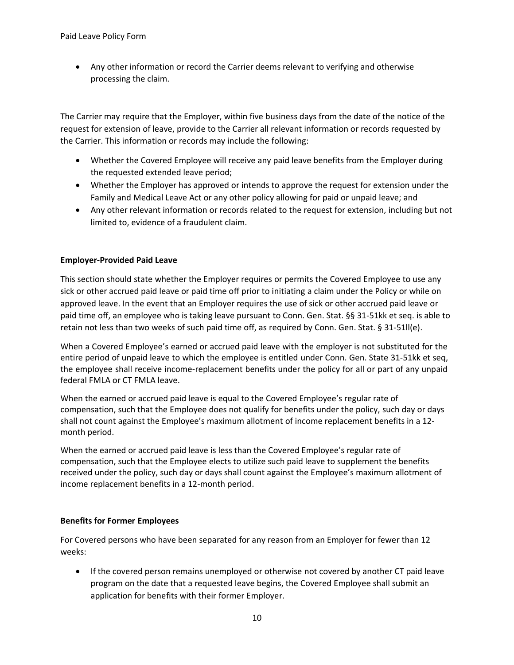• Any other information or record the Carrier deems relevant to verifying and otherwise processing the claim.

The Carrier may require that the Employer, within five business days from the date of the notice of the request for extension of leave, provide to the Carrier all relevant information or records requested by the Carrier. This information or records may include the following:

- Whether the Covered Employee will receive any paid leave benefits from the Employer during the requested extended leave period;
- Whether the Employer has approved or intends to approve the request for extension under the Family and Medical Leave Act or any other policy allowing for paid or unpaid leave; and
- Any other relevant information or records related to the request for extension, including but not limited to, evidence of a fraudulent claim.

### **Employer-Provided Paid Leave**

This section should state whether the Employer requires or permits the Covered Employee to use any sick or other accrued paid leave or paid time off prior to initiating a claim under the Policy or while on approved leave. In the event that an Employer requires the use of sick or other accrued paid leave or paid time off, an employee who is taking leave pursuant to Conn. Gen. Stat. §§ 31-51kk et seq. is able to retain not less than two weeks of such paid time off, as required by Conn. Gen. Stat. § 31-51ll(e).

 When a Covered Employee's earned or accrued paid leave with the employer is not substituted for the entire period of unpaid leave to which the employee is entitled under Conn. Gen. State 31-51kk et seq, the employee shall receive income-replacement benefits under the policy for all or part of any unpaid federal FMLA or CT FMLA leave.

month period. When the earned or accrued paid leave is equal to the Covered Employee's regular rate of compensation, such that the Employee does not qualify for benefits under the policy, such day or days shall not count against the Employee's maximum allotment of income replacement benefits in a 12-

When the earned or accrued paid leave is less than the Covered Employee's regular rate of compensation, such that the Employee elects to utilize such paid leave to supplement the benefits received under the policy, such day or days shall count against the Employee's maximum allotment of income replacement benefits in a 12-month period.

#### **Benefits for Former Employees**

For Covered persons who have been separated for any reason from an Employer for fewer than 12 weeks:

• If the covered person remains unemployed or otherwise not covered by another CT paid leave program on the date that a requested leave begins, the Covered Employee shall submit an application for benefits with their former Employer.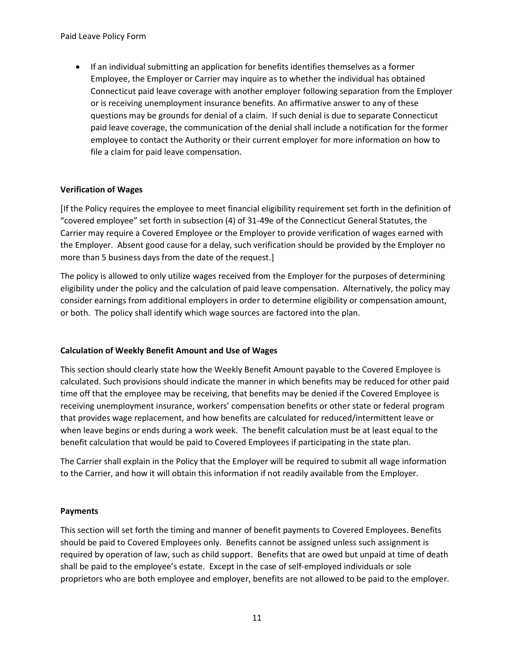questions may be grounds for denial of a claim. If such denial is due to separate Connecticut • If an individual submitting an application for benefits identifies themselves as a former Employee, the Employer or Carrier may inquire as to whether the individual has obtained Connecticut paid leave coverage with another employer following separation from the Employer or is receiving unemployment insurance benefits. An affirmative answer to any of these paid leave coverage, the communication of the denial shall include a notification for the former employee to contact the Authority or their current employer for more information on how to file a claim for paid leave compensation.

## **Verification of Wages**

 the Employer. Absent good cause for a delay, such verification should be provided by the Employer no [If the Policy requires the employee to meet financial eligibility requirement set forth in the definition of "covered employee" set forth in subsection (4) of 31-49e of the Connecticut General Statutes, the Carrier may require a Covered Employee or the Employer to provide verification of wages earned with more than 5 business days from the date of the request.]

The policy is allowed to only utilize wages received from the Employer for the purposes of determining eligibility under the policy and the calculation of paid leave compensation. Alternatively, the policy may consider earnings from additional employers in order to determine eligibility or compensation amount, or both. The policy shall identify which wage sources are factored into the plan.

#### **Calculation of Weekly Benefit Amount and Use of Wages**

This section should clearly state how the Weekly Benefit Amount payable to the Covered Employee is calculated. Such provisions should indicate the manner in which benefits may be reduced for other paid time off that the employee may be receiving, that benefits may be denied if the Covered Employee is receiving unemployment insurance, workers' compensation benefits or other state or federal program that provides wage replacement, and how benefits are calculated for reduced/intermittent leave or when leave begins or ends during a work week. The benefit calculation must be at least equal to the benefit calculation that would be paid to Covered Employees if participating in the state plan.

The Carrier shall explain in the Policy that the Employer will be required to submit all wage information to the Carrier, and how it will obtain this information if not readily available from the Employer.

#### **Payments**

 shall be paid to the employee's estate. Except in the case of self-employed individuals or sole This section will set forth the timing and manner of benefit payments to Covered Employees. Benefits should be paid to Covered Employees only. Benefits cannot be assigned unless such assignment is required by operation of law, such as child support. Benefits that are owed but unpaid at time of death proprietors who are both employee and employer, benefits are not allowed to be paid to the employer.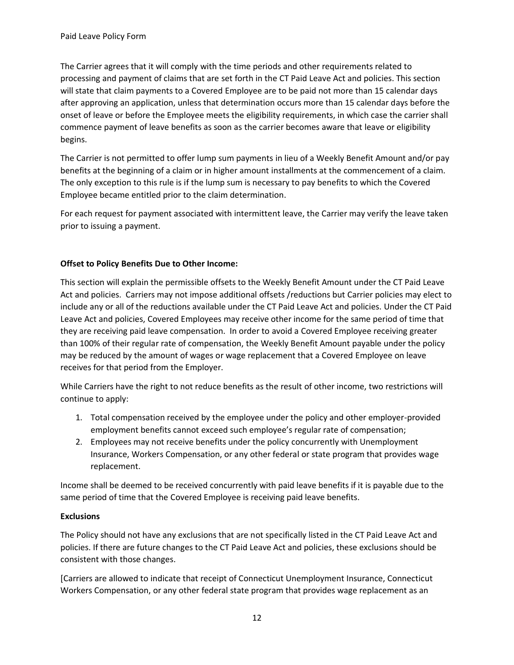will state that claim payments to a Covered Employee are to be paid not more than 15 calendar days The Carrier agrees that it will comply with the time periods and other requirements related to processing and payment of claims that are set forth in the CT Paid Leave Act and policies. This section after approving an application, unless that determination occurs more than 15 calendar days before the onset of leave or before the Employee meets the eligibility requirements, in which case the carrier shall commence payment of leave benefits as soon as the carrier becomes aware that leave or eligibility begins.

The Carrier is not permitted to offer lump sum payments in lieu of a Weekly Benefit Amount and/or pay benefits at the beginning of a claim or in higher amount installments at the commencement of a claim. The only exception to this rule is if the lump sum is necessary to pay benefits to which the Covered Employee became entitled prior to the claim determination.

For each request for payment associated with intermittent leave, the Carrier may verify the leave taken prior to issuing a payment.

## **Offset to Policy Benefits Due to Other Income:**

This section will explain the permissible offsets to the Weekly Benefit Amount under the CT Paid Leave Act and policies. Carriers may not impose additional offsets /reductions but Carrier policies may elect to include any or all of the reductions available under the CT Paid Leave Act and policies. Under the CT Paid Leave Act and policies, Covered Employees may receive other income for the same period of time that they are receiving paid leave compensation. In order to avoid a Covered Employee receiving greater than 100% of their regular rate of compensation, the Weekly Benefit Amount payable under the policy may be reduced by the amount of wages or wage replacement that a Covered Employee on leave receives for that period from the Employer.

While Carriers have the right to not reduce benefits as the result of other income, two restrictions will continue to apply:

- 1. Total compensation received by the employee under the policy and other employer-provided employment benefits cannot exceed such employee's regular rate of compensation;
- 2. Employees may not receive benefits under the policy concurrently with Unemployment Insurance, Workers Compensation, or any other federal or state program that provides wage replacement.

Income shall be deemed to be received concurrently with paid leave benefits if it is payable due to the same period of time that the Covered Employee is receiving paid leave benefits.

#### **Exclusions**

The Policy should not have any exclusions that are not specifically listed in the CT Paid Leave Act and policies. If there are future changes to the CT Paid Leave Act and policies, these exclusions should be consistent with those changes.

[Carriers are allowed to indicate that receipt of Connecticut Unemployment Insurance, Connecticut Workers Compensation, or any other federal state program that provides wage replacement as an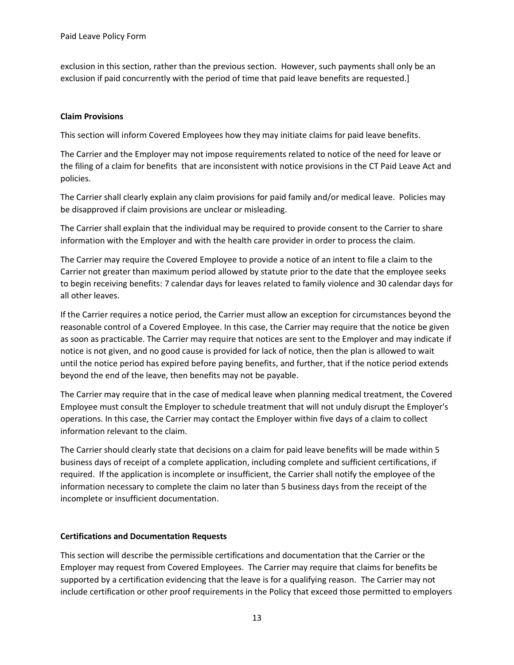exclusion in this section, rather than the previous section. However, such payments shall only be an exclusion if paid concurrently with the period of time that paid leave benefits are requested.]

### **Claim Provisions**

This section will inform Covered Employees how they may initiate claims for paid leave benefits.

The Carrier and the Employer may not impose requirements related to notice of the need for leave or the filing of a claim for benefits that are inconsistent with notice provisions in the CT Paid Leave Act and policies.

 The Carrier shall clearly explain any claim provisions for paid family and/or medical leave. Policies may be disapproved if claim provisions are unclear or misleading.

The Carrier shall explain that the individual may be required to provide consent to the Carrier to share information with the Employer and with the health care provider in order to process the claim.

 to begin receiving benefits: 7 calendar days for leaves related to family violence and 30 calendar days for The Carrier may require the Covered Employee to provide a notice of an intent to file a claim to the Carrier not greater than maximum period allowed by statute prior to the date that the employee seeks all other leaves.

beyond the end of the leave, then benefits may not be payable. If the Carrier requires a notice period, the Carrier must allow an exception for circumstances beyond the reasonable control of a Covered Employee. In this case, the Carrier may require that the notice be given as soon as practicable. The Carrier may require that notices are sent to the Employer and may indicate if notice is not given, and no good cause is provided for lack of notice, then the plan is allowed to wait until the notice period has expired before paying benefits, and further, that if the notice period extends

The Carrier may require that in the case of medical leave when planning medical treatment, the Covered Employee must consult the Employer to schedule treatment that will not unduly disrupt the Employer's operations. In this case, the Carrier may contact the Employer within five days of a claim to collect information relevant to the claim.

 The Carrier should clearly state that decisions on a claim for paid leave benefits will be made within 5 required. If the application is incomplete or insufficient, the Carrier shall notify the employee of the business days of receipt of a complete application, including complete and sufficient certifications, if information necessary to complete the claim no later than 5 business days from the receipt of the incomplete or insufficient documentation.

#### **Certifications and Documentation Requests**

 supported by a certification evidencing that the leave is for a qualifying reason. The Carrier may not This section will describe the permissible certifications and documentation that the Carrier or the Employer may request from Covered Employees. The Carrier may require that claims for benefits be include certification or other proof requirements in the Policy that exceed those permitted to employers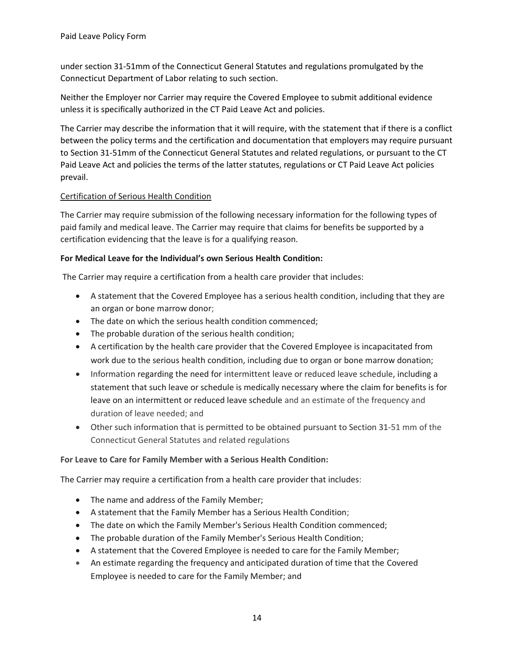under section 31-51mm of the Connecticut General Statutes and regulations promulgated by the Connecticut Department of Labor relating to such section.

Neither the Employer nor Carrier may require the Covered Employee to submit additional evidence unless it is specifically authorized in the CT Paid Leave Act and policies.

The Carrier may describe the information that it will require, with the statement that if there is a conflict between the policy terms and the certification and documentation that employers may require pursuant to Section 31-51mm of the Connecticut General Statutes and related regulations, or pursuant to the CT Paid Leave Act and policies the terms of the latter statutes, regulations or CT Paid Leave Act policies prevail.

### Certification of Serious Health Condition

The Carrier may require submission of the following necessary information for the following types of paid family and medical leave. The Carrier may require that claims for benefits be supported by a certification evidencing that the leave is for a qualifying reason.

### **For Medical Leave for the Individual's own Serious Health Condition:**

The Carrier may require a certification from a health care provider that includes:

- A statement that the Covered Employee has a serious health condition, including that they are an organ or bone marrow donor;
- The date on which the serious health condition commenced;
- The probable duration of the serious health condition;
- A certification by the health care provider that the Covered Employee is incapacitated from work due to the serious health condition, including due to organ or bone marrow donation;
- statement that such leave or schedule is medically necessary where the claim for benefits is for • Information regarding the need for intermittent leave or reduced leave schedule, including a leave on an intermittent or reduced leave schedule and an estimate of the frequency and duration of leave needed; and
- Other such information that is permitted to be obtained pursuant to Section 31-51 mm of the Connecticut General Statutes and related regulations

## **For Leave to Care for Family Member with a Serious Health Condition:**

The Carrier may require a certification from a health care provider that includes:

- The name and address of the Family Member;
- A statement that the Family Member has a Serious Health Condition;
- The date on which the Family Member's Serious Health Condition commenced;
- The probable duration of the Family Member's Serious Health Condition;
- A statement that the Covered Employee is needed to care for the Family Member;
- An estimate regarding the frequency and anticipated duration of time that the Covered Employee is needed to care for the Family Member; and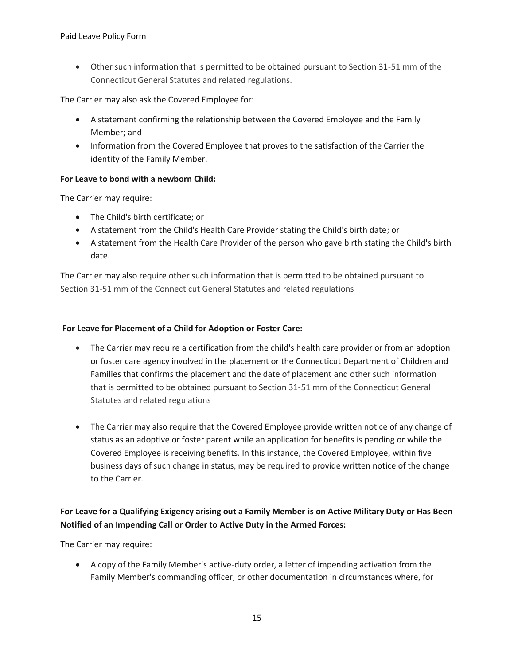• Other such information that is permitted to be obtained pursuant to Section 31-51 mm of the Connecticut General Statutes and related regulations.

The Carrier may also ask the Covered Employee for:

- A statement confirming the relationship between the Covered Employee and the Family Member; and
- Information from the Covered Employee that proves to the satisfaction of the Carrier the identity of the Family Member.

### **For Leave to bond with a newborn Child:**

The Carrier may require:

- The Child's birth certificate; or
- A statement from the Child's Health Care Provider stating the Child's birth date; or
- A statement from the Health Care Provider of the person who gave birth stating the Child's birth date.

The Carrier may also require other such information that is permitted to be obtained pursuant to Section 31-51 mm of the Connecticut General Statutes and related regulations

### **For Leave for Placement of a Child for Adoption or Foster Care:**

- The Carrier may require a certification from the child's health care provider or from an adoption or foster care agency involved in the placement or the Connecticut Department of Children and Families that confirms the placement and the date of placement and other such information that is permitted to be obtained pursuant to Section 31-51 mm of the Connecticut General Statutes and related regulations
- The Carrier may also require that the Covered Employee provide written notice of any change of status as an adoptive or foster parent while an application for benefits is pending or while the Covered Employee is receiving benefits. In this instance, the Covered Employee, within five business days of such change in status, may be required to provide written notice of the change to the Carrier.

# **For Leave for a Qualifying Exigency arising out a Family Member is on Active Military Duty or Has Been Notified of an Impending Call or Order to Active Duty in the Armed Forces:**

The Carrier may require:

• A copy of the Family Member's active-duty order, a letter of impending activation from the Family Member's commanding officer, or other documentation in circumstances where, for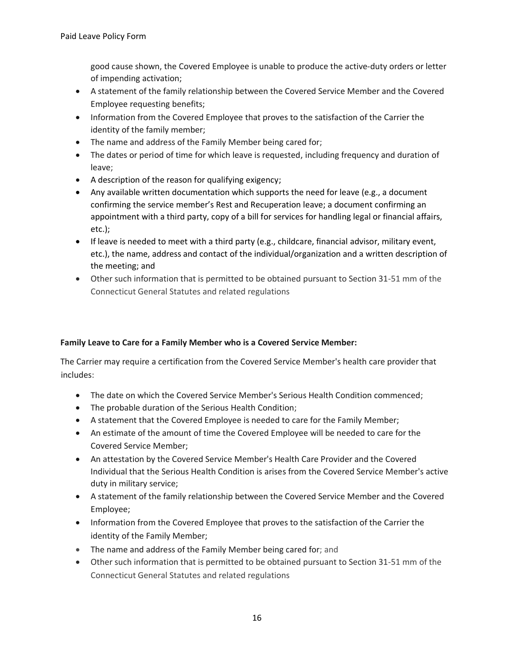good cause shown, the Covered Employee is unable to produce the active-duty orders or letter of impending activation;

- A statement of the family relationship between the Covered Service Member and the Covered Employee requesting benefits;
- Information from the Covered Employee that proves to the satisfaction of the Carrier the identity of the family member;
- The name and address of the Family Member being cared for;
- The dates or period of time for which leave is requested, including frequency and duration of leave;
- A description of the reason for qualifying exigency;
- Any available written documentation which supports the need for leave (e.g., a document confirming the service member's Rest and Recuperation leave; a document confirming an appointment with a third party, copy of a bill for services for handling legal or financial affairs, etc.);
- If leave is needed to meet with a third party (e.g., childcare, financial advisor, military event, etc.), the name, address and contact of the individual/organization and a written description of the meeting; and
- Other such information that is permitted to be obtained pursuant to Section 31-51 mm of the Connecticut General Statutes and related regulations

## **Family Leave to Care for a Family Member who is a Covered Service Member:**

The Carrier may require a certification from the Covered Service Member's health care provider that includes:

- The date on which the Covered Service Member's Serious Health Condition commenced;
- The probable duration of the Serious Health Condition;
- A statement that the Covered Employee is needed to care for the Family Member;
- An estimate of the amount of time the Covered Employee will be needed to care for the Covered Service Member;
- An attestation by the Covered Service Member's Health Care Provider and the Covered Individual that the Serious Health Condition is arises from the Covered Service Member's active duty in military service;
- A statement of the family relationship between the Covered Service Member and the Covered Employee;
- Information from the Covered Employee that proves to the satisfaction of the Carrier the identity of the Family Member;
- The name and address of the Family Member being cared for; and
- Other such information that is permitted to be obtained pursuant to Section 31-51 mm of the Connecticut General Statutes and related regulations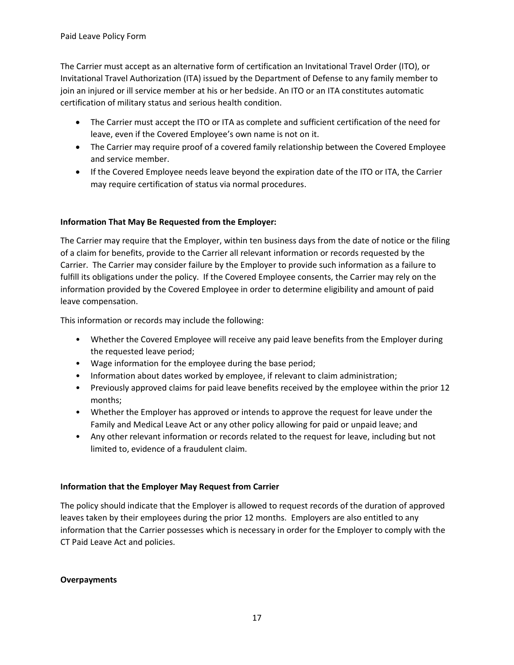The Carrier must accept as an alternative form of certification an Invitational Travel Order (ITO), or certification of military status and serious health condition. Invitational Travel Authorization (ITA) issued by the Department of Defense to any family member to join an injured or ill service member at his or her bedside. An ITO or an ITA constitutes automatic

- The Carrier must accept the ITO or ITA as complete and sufficient certification of the need for leave, even if the Covered Employee's own name is not on it.
- The Carrier may require proof of a covered family relationship between the Covered Employee and service member.
- If the Covered Employee needs leave beyond the expiration date of the ITO or ITA, the Carrier may require certification of status via normal procedures.

## **Information That May Be Requested from the Employer:**

 Carrier. The Carrier may consider failure by the Employer to provide such information as a failure to The Carrier may require that the Employer, within ten business days from the date of notice or the filing of a claim for benefits, provide to the Carrier all relevant information or records requested by the fulfill its obligations under the policy. If the Covered Employee consents, the Carrier may rely on the information provided by the Covered Employee in order to determine eligibility and amount of paid leave compensation.

This information or records may include the following:

- Whether the Covered Employee will receive any paid leave benefits from the Employer during the requested leave period;
- Wage information for the employee during the base period;
- Information about dates worked by employee, if relevant to claim administration;
- • Previously approved claims for paid leave benefits received by the employee within the prior 12 months;
- Whether the Employer has approved or intends to approve the request for leave under the Family and Medical Leave Act or any other policy allowing for paid or unpaid leave; and
- Any other relevant information or records related to the request for leave, including but not limited to, evidence of a fraudulent claim.

## **Information that the Employer May Request from Carrier**

 leaves taken by their employees during the prior 12 months. Employers are also entitled to any The policy should indicate that the Employer is allowed to request records of the duration of approved information that the Carrier possesses which is necessary in order for the Employer to comply with the CT Paid Leave Act and policies.

#### **Overpayments**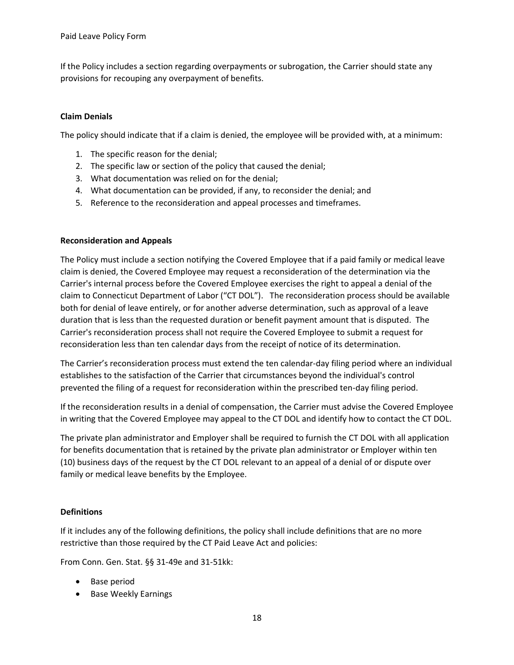provisions for recouping any overpayment of benefits. If the Policy includes a section regarding overpayments or subrogation, the Carrier should state any

### **Claim Denials**

The policy should indicate that if a claim is denied, the employee will be provided with, at a minimum:

- 1. The specific reason for the denial;
- 2. The specific law or section of the policy that caused the denial;
- 3. What documentation was relied on for the denial;
- 4. What documentation can be provided, if any, to reconsider the denial; and
- 5. Reference to the reconsideration and appeal processes and timeframes.

#### **Reconsideration and Appeals**

The Policy must include a section notifying the Covered Employee that if a paid family or medical leave claim is denied, the Covered Employee may request a reconsideration of the determination via the Carrier's internal process before the Covered Employee exercises the right to appeal a denial of the claim to Connecticut Department of Labor ("CT DOL"). The reconsideration process should be available both for denial of leave entirely, or for another adverse determination, such as approval of a leave duration that is less than the requested duration or benefit payment amount that is disputed. The Carrier's reconsideration process shall not require the Covered Employee to submit a request for reconsideration less than ten calendar days from the receipt of notice of its determination.

The Carrier's reconsideration process must extend the ten calendar-day filing period where an individual establishes to the satisfaction of the Carrier that circumstances beyond the individual's control prevented the filing of a request for reconsideration within the prescribed ten-day filing period.

If the reconsideration results in a denial of compensation, the Carrier must advise the Covered Employee in writing that the Covered Employee may appeal to the CT DOL and identify how to contact the CT DOL.

 for benefits documentation that is retained by the private plan administrator or Employer within ten (10) business days of the request by the CT DOL relevant to an appeal of a denial of or dispute over The private plan administrator and Employer shall be required to furnish the CT DOL with all application family or medical leave benefits by the Employee.

#### **Definitions**

If it includes any of the following definitions, the policy shall include definitions that are no more restrictive than those required by the CT Paid Leave Act and policies:

From Conn. Gen. Stat. §§ 31-49e and 31-51kk:

- Base period
- Base Weekly Earnings